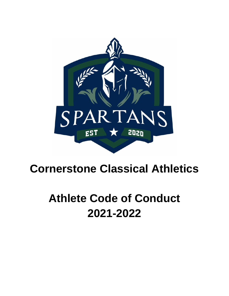

## **Cornerstone Classical Athletics**

# **Athlete Code of Conduct 2021-2022**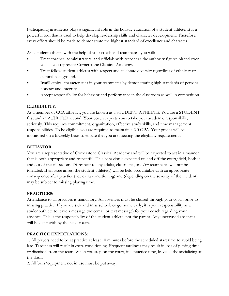Participating in athletics plays a significant role in the holistic education of a student-athlete. It is a powerful tool that is used to help develop leadership skills and character development. Therefore, every effort should be made to demonstrate the highest standard of excellence and character.

As a student-athlete, with the help of your coach and teammates, you will:

- ⦁ Treat coaches, administrators, and officials with respect as the authority figures placed over you as you represent Cornerstone Classical Academy.
- ⦁ Treat fellow student-athletes with respect and celebrate diversity regardless of ethnicity or cultural background.
- ⦁ Instill ethical characteristics in your teammates by demonstrating high standards of personal honesty and integrity.
- Accept responsibility for behavior and performance in the classroom as well in competition.

#### **ELIGIBILITY:**

As a member of CCA athletics, you are known as a STUDENT-ATHLETE. You are a STUDENT first and an ATHLETE second. Your coach expects you to take your academic responsibility seriously. This requires commitment, organization, effective study skills, and time management responsibilities. To be eligible, you are required to maintain a 2.0 GPA. Your grades will be monitored on a biweekly basis to ensure that you are meeting the eligibility requirements.

#### **BEHAVIOR:**

You are a representative of Cornerstone Classical Academy and will be expected to act in a manner that is both appropriate and respectful. This behavior is expected on and off the court/field, both in and out of the classroom. Disrespect to any adults, classmates, and/or teammates will not be tolerated. If an issue arises, the student-athlete(s) will be held accountable with an appropriate consequence after practice (i.e., extra conditioning) and (depending on the severity of the incident) may be subject to missing playing time.

#### **PRACTICES:**

Attendance to all practices is mandatory. All absences must be cleared through your coach prior to missing practice. If you are sick and miss school, or go home early, it is your responsibility as a student-athlete to leave a message (voicemail or text message) for your coach regarding your absence. This is the responsibility of the student-athlete, not the parent. Any unexcused absences will be dealt with by the head coach.

#### **PRACTICE EXPECTATIONS:**

1. All players need to be at practice at least 10 minutes before the scheduled start time to avoid being late. Tardiness will result in extra conditioning. Frequent tardiness may result in loss of playing time or dismissal from the team. When you step on the court, it is practice time, leave all the socializing at the door.

2. All balls/equipment not in use must be put away.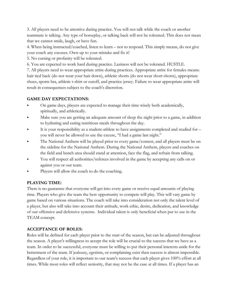3. All players need to be attentive during practice. You will not talk while the coach or another teammate is talking. Any type of horseplay, or talking back will not be tolerated. This does not mean that we cannot smile, laugh, or have fun.

4. When being instructed/coached, listen to learn – not to respond. This simply means, do not give your coach any excuses. Own up to your mistake and fix it!

5. No cursing or profanity will be tolerated.

6. You are expected to work hard during practice. Laziness will not be tolerated. HUSTLE.

7. All players need to wear appropriate attire during practices. Appropriate attire for females means: hair tied back (do not wear your hair down), athletic shorts (do not wear short-shorts), appropriate shoes, sports bra, athletic t-shirt or cutoff, and practice jersey. Failure to wear appropriate attire will result in consequences subject to the coach's discretion.

## **GAME DAY EXPECTATIONS:**

- ⦁ On game days, players are expected to manage their time wisely both academically, spiritually, and athletically.
- ⦁ Make sure you are getting an adequate amount of sleep the night prior to a game, in addition to hydrating and eating nutritious meals throughout the day.
- It is your responsibility as a student-athlete to have assignments completed and studied for you will never be allowed to use the excuse, "I had a game last night."
- ⦁ The National Anthem will be played prior to every game/contest, and all players must be on the sideline for the National Anthem. During the National Anthem, players and coaches on the field and bench area should stand at attention, face the flag, and refrain from talking.
- You will respect all authorities/referees involved in the game by accepting any calls on or against you or our team.
- Players will allow the coach to do the coaching.

## **PLAYING TIME:**

There is no guarantee that everyone will get into every game or receive equal amounts of playing time. Players who give the team the best opportunity to compete will play. This will vary game by game based on various situations. The coach will take into consideration not only the talent level of a player, but also will take into account their attitude, work ethic, desire, dedication, and knowledge of our offensive and defensive systems. Individual talent is only beneficial when put to use in the TEAM concept.

## **ACCEPTANCE OF ROLES:**

Roles will be defined for each player prior to the start of the season, but can be adjusted throughout the season. A player's willingness to accept the role will be crucial to the success that we have as a team. In order to be successful, everyone must be willing to put their personal interests aside for the betterment of the team. If jealousy, egotism, or complaining exist then success is almost impossible. Regardless of your role, it is important to our team's success that each player gives 100% effort at all times. While most roles will reflect seniority, that may not be the case at all times. If a player has an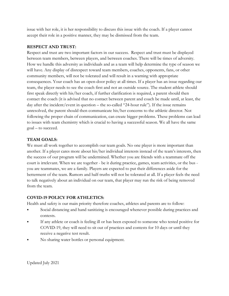issue with her role, it is her responsibility to discuss this issue with the coach. If a player cannot accept their role in a positive manner, they may be dismissed from the team.

#### **RESPECT AND TRUST:**

Respect and trust are two important factors in our success. Respect and trust must be displayed between team members, between players, and between coaches. There will be times of adversity. How we handle this adversity as individuals and as a team will help determine the type of season we will have. Any display of disrespect toward team members, coaches, opponents, fans, or other community members, will not be tolerated and will result in a warning with appropriate consequences. Your coach has an open-door policy at all times. If a player has an issue regarding our team, the player needs to see the coach first and not an outside source. The student athlete should first speak directly with his/her coach, if further clarification is required, a parent should then contact the coach (it is advised that no contact between parent and coach be made until, at least, the day after the incident/event in question – the so-called "24-hour rule"). If the issue remains unresolved, the parent should then communicate his/her concerns to the athletic director. Not following the proper chain of communication, can create bigger problems. These problems can lead to issues with team chemistry which is crucial to having a successful season. We all have the same goal – to succeed.

#### **TEAM GOALS:**

We must all work together to accomplish our team goals. No one player is more important than another. If a player cares more about his/her individual interests instead of the team's interests, then the success of our program will be undermined. Whether you are friends with a teammate off the court is irrelevant. When we are together - be it during practice, games, team activities, or the bus you are teammates, we are a family. Players are expected to put their differences aside for the betterment of the team. Rumors and half-truths will not be tolerated at all. If a player feels the need to talk negatively about an individual on our team, that player may run the risk of being removed from the team.

## **COVID-19 POLICY FOR ATHLETICS:**

Health and safety is our main priority therefore coaches, athletes and parents are to follow:

- Social distancing and hand sanitizing is encouraged whenever possible during practices and contests.
- If any athlete or coach is feeling ill or has been exposed to someone who tested positive for COVID-19, they will need to sit out of practices and contests for 10 days or until they receive a negative test result.
- ⦁ No sharing water bottles or personal equipment.

Updated July 2021